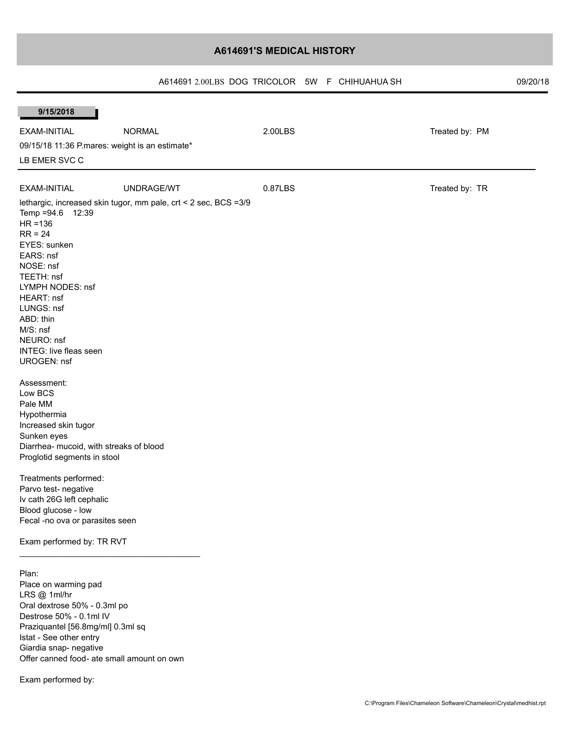# **A614691'S MEDICAL HISTORY**

| A614691 2,00LBS DOG TRICOLOR 5W F CHIHUAHUA SH |  |  | 09/20/18 |
|------------------------------------------------|--|--|----------|
|------------------------------------------------|--|--|----------|

| 9/15/2018                                                                                                                                                                                                                                        |                                                                  |         |                |  |  |  |  |  |  |
|--------------------------------------------------------------------------------------------------------------------------------------------------------------------------------------------------------------------------------------------------|------------------------------------------------------------------|---------|----------------|--|--|--|--|--|--|
| EXAM-INITIAL                                                                                                                                                                                                                                     | <b>NORMAL</b>                                                    | 2.00LBS | Treated by: PM |  |  |  |  |  |  |
|                                                                                                                                                                                                                                                  | 09/15/18 11:36 P.mares: weight is an estimate*                   |         |                |  |  |  |  |  |  |
| LB EMER SVC C                                                                                                                                                                                                                                    |                                                                  |         |                |  |  |  |  |  |  |
|                                                                                                                                                                                                                                                  |                                                                  |         |                |  |  |  |  |  |  |
| EXAM-INITIAL                                                                                                                                                                                                                                     | UNDRAGE/WT                                                       | 0.87LBS | Treated by: TR |  |  |  |  |  |  |
| Temp = 94.6 12:39<br>$HR = 136$<br>$RR = 24$<br>EYES: sunken<br>EARS: nsf<br>NOSE: nsf<br>TEETH: nsf<br>LYMPH NODES: nsf<br>HEART: nsf<br>LUNGS: nsf<br>ABD: thin<br>M/S: nsf<br>NEURO: nsf<br><b>INTEG: live fleas seen</b>                     | lethargic, increased skin tugor, mm pale, crt < 2 sec, BCS = 3/9 |         |                |  |  |  |  |  |  |
| <b>UROGEN: nsf</b><br>Assessment:<br>Low BCS<br>Pale MM<br>Hypothermia<br>Increased skin tugor<br>Sunken eyes<br>Diarrhea- mucoid, with streaks of blood<br>Proglotid segments in stool                                                          |                                                                  |         |                |  |  |  |  |  |  |
| Treatments performed:<br>Parvo test- negative<br>Iv cath 26G left cephalic<br>Blood glucose - low<br>Fecal -no ova or parasites seen<br>Exam performed by: TR RVT                                                                                |                                                                  |         |                |  |  |  |  |  |  |
| Plan:<br>Place on warming pad<br>LRS @ 1ml/hr<br>Oral dextrose 50% - 0.3ml po<br>Destrose 50% - 0.1ml IV<br>Praziquantel [56.8mg/ml] 0.3ml sq<br>Istat - See other entry<br>Giardia snap- negative<br>Offer canned food- ate small amount on own |                                                                  |         |                |  |  |  |  |  |  |

Exam performed by: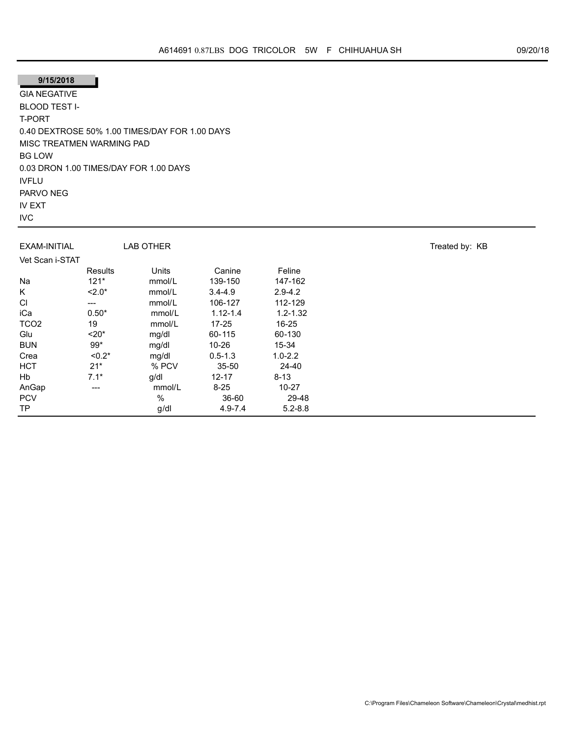# **9/15/2018**

GIA NEGATIVE BLOOD TEST I-T-PORT 0.40 DEXTROSE 50% 1.00 TIMES/DAY FOR 1.00 DAYS MISC TREATMEN WARMING PAD BG LOW 0.03 DRON 1.00 TIMES/DAY FOR 1.00 DAYS IVFLU PARVO NEG IV EXT IVC

| EXAM-INITIAL     |          | <b>LAB OTHER</b> |              |              | Treated by: KB |
|------------------|----------|------------------|--------------|--------------|----------------|
| Vet Scan i-STAT  |          |                  |              |              |                |
|                  | Results  | Units            | Canine       | Feline       |                |
| Na               | $121*$   | mmol/L           | 139-150      | 147-162      |                |
| Κ                | $2.0*$   | mmol/L           | $3.4 - 4.9$  | $2.9 - 4.2$  |                |
| CI               | ---      | mmol/L           | 106-127      | 112-129      |                |
| iCa              | $0.50*$  | mmol/L           | $1.12 - 1.4$ | $1.2 - 1.32$ |                |
| TCO <sub>2</sub> | 19       | mmol/L           | $17 - 25$    | 16-25        |                |
| Glu              | $20*$    | mg/dl            | 60-115       | 60-130       |                |
| <b>BUN</b>       | 99*      | mg/dl            | $10 - 26$    | 15-34        |                |
| Crea             | $< 0.2*$ | mg/dl            | $0.5 - 1.3$  | $1.0 - 2.2$  |                |
| <b>HCT</b>       | $21*$    | % PCV            | 35-50        | 24-40        |                |
| Hb               | $7.1*$   | g/dl             | $12 - 17$    | $8 - 13$     |                |
| AnGap            | $---$    | mmol/L           | $8 - 25$     | $10 - 27$    |                |
| <b>PCV</b>       |          | $\%$             | 36-60        | 29-48        |                |
| TP.              |          | g/dl             | $4.9 - 7.4$  | $5.2 - 8.8$  |                |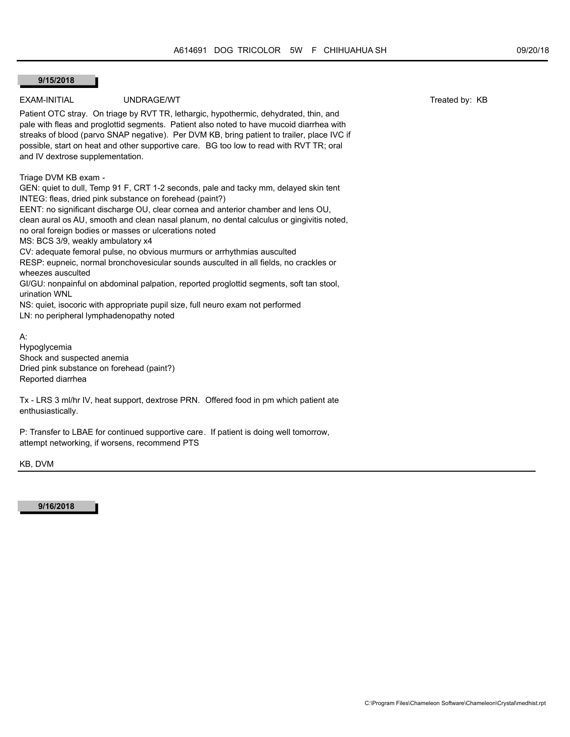### **9/15/2018**

## EXAM-INITIAL UNDRAGE/WT UNDRAGE/WT TRANSPORTED TRANSPORTED TRANSPORTED TRANSPORTED TRANSPORTED TRANSPORTED TRANSPORTED TRANSPORTED TRANSPORTED TRANSPORTED TRANSPORTED TRANSPORTED TRANSPORTED TRANSPORTED TRANSPORTED TRANSPO

Patient OTC stray. On triage by RVT TR, lethargic, hypothermic, dehydrated, thin, and pale with fleas and proglottid segments. Patient also noted to have mucoid diarrhea with streaks of blood (parvo SNAP negative). Per DVM KB, bring patient to trailer, place IVC if possible, start on heat and other supportive care. BG too low to read with RVT TR; oral and IV dextrose supplementation.

Triage DVM KB exam -

GEN: quiet to dull, Temp 91 F, CRT 1-2 seconds, pale and tacky mm, delayed skin tent INTEG: fleas, dried pink substance on forehead (paint?)

EENT: no significant discharge OU, clear cornea and anterior chamber and lens OU, clean aural os AU, smooth and clean nasal planum, no dental calculus or gingivitis noted, no oral foreign bodies or masses or ulcerations noted MS: BCS 3/9, weakly ambulatory x4 CV: adequate femoral pulse, no obvious murmurs or arrhythmias ausculted

RESP: eupneic, normal bronchovesicular sounds ausculted in all fields, no crackles or wheezes ausculted

GI/GU: nonpainful on abdominal palpation, reported proglottid segments, soft tan stool, urination WNL

NS: quiet, isocoric with appropriate pupil size, full neuro exam not performed

LN: no peripheral lymphadenopathy noted

A:

Hypoglycemia Shock and suspected anemia Dried pink substance on forehead (paint?) Reported diarrhea

Tx - LRS 3 ml/hr IV, heat support, dextrose PRN. Offered food in pm which patient ate enthusiastically.

P: Transfer to LBAE for continued supportive care. If patient is doing well tomorrow, attempt networking, if worsens, recommend PTS

KB, DVM

**9/16/2018**